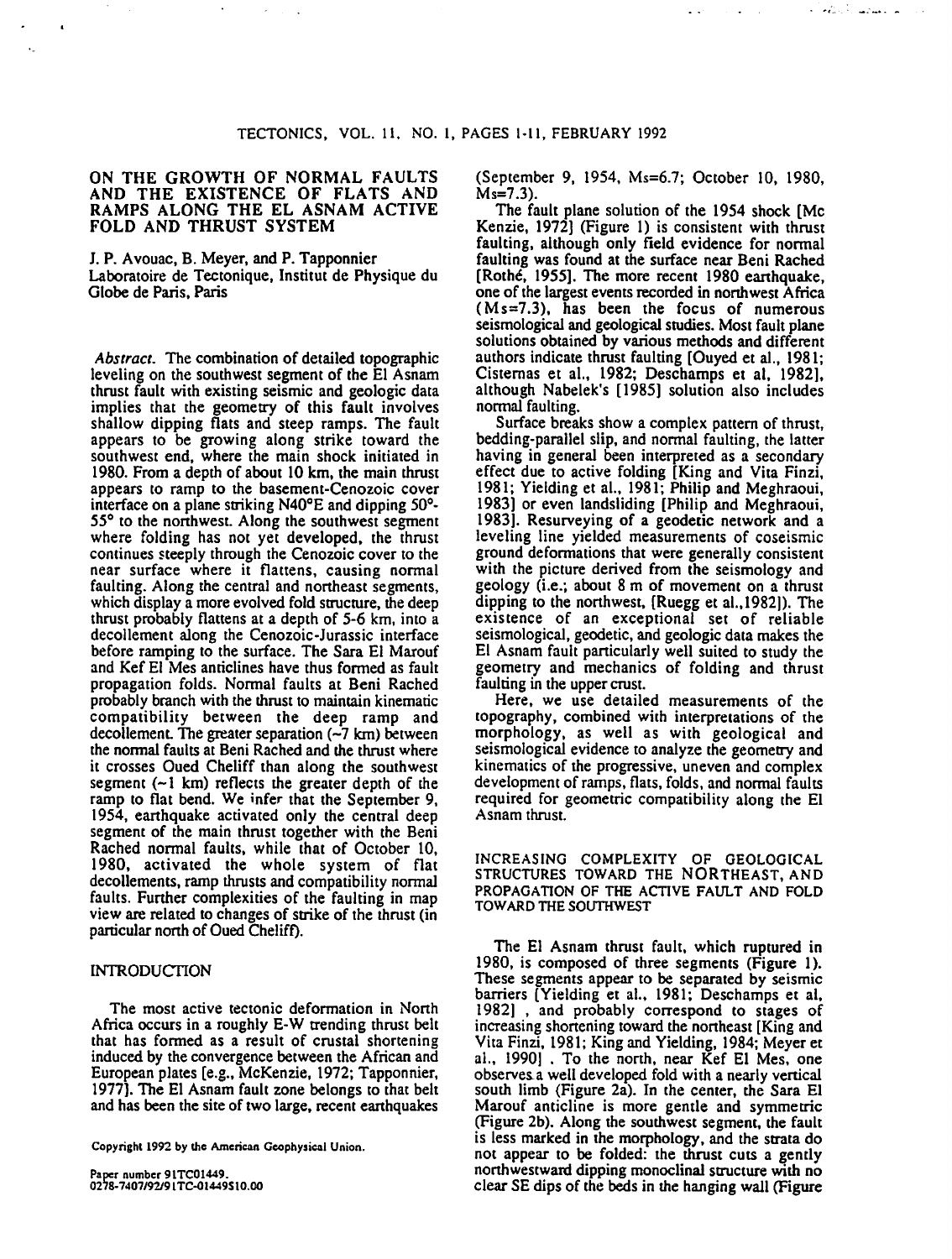## ON THE GROWTH OF NORMAL FAULTS AND THE EXISTENCE OF FLATS AND RAMPS ALONG THE EL ASNAM ACTIVE FOLD AND THRUST SYSTEM

 $\sim$ 

J.P. Avouac, B. Meyer, and P. Tapponnier Laboratoire de Tectonique, Institut de Physique du Globe de Paris, Paris

*Abstract.* The combination of detailed topographic leveling on the southwest segment of the El Asnam thrust fault with existing seismic and geologic data implies that the geometry of this fault involves shallow dipping flats and steep ramps. The fault appears to be growing along strike toward the southwest end, where the main shock initiated in 1980. From a depth of about 10 km, the main thrust appears to ramp to the basement-Cenozoic cover interface on a plane striking N40°E and dipping 50°-55° to the northwest. Along the southwest segment where folding has not yet developed, the thrust continues steeply through the Cenozoic cover to the near surface where it flattens, causing normal faulting. Along the central and northeast segments, which display a more evolved fold structure, the deep thrust probably flattens at a depth of 5-6 km, into a decollement along the Cenozoic-Jurassic interface before ramping to the surface. The Sara El Marouf and Kef El Mes anticlines have thus formed as fault propagation folds. Normal faults at Beni Rached probably branch with the thrust to maintain kinematic compatibility between the deep ramp and decollement. The greater separation  $(-7 \text{ km})$  between the normal faults at Beni Rached and the thrust where it crosses Oued Cheliff than along the southwest segment  $(-1 \text{ km})$  reflects the greater depth of the ramp to flat bend. We infer that the September 9, 1954, earthquake activated only the central deep segment of the main thrust together with the Beni Rached normal faults, while that of October 10, 1980, activated the whole system of flat decollements, ramp thrusts and compatibility normal faults. Further complexities of the faulting in map view are related to changes of strike of the thrust (in particular north of Oued Cheliff).

### **INTRODUCTION**

The most active tectonic deformation in North Africa occurs in a roughly E-W trending thrust belt that has formed as a result of crustal shortening induced by the convergence between the African and European plates [e.g., McKenzie, 1972; Tapponnier, 1977]. The El Asnam fault zone belongs to that belt and has been the site of two large, recent eanhquakes

Copyright 1992 by the American Geophysical Union.

Paper number 91TC01449. 0278-7407192191TC-01449Sl0.00 (September 9, 1954, Ms=6.7; October 10, 1980, Ms=7.3).

المستعمل وأوادها والمتحار

 $\bullet$  . <br> <br> <br>  $\bullet$  .

The fault plane solution of the 1954 shock [Me Kenzie, 1972] (Figure 1) is consistent with thrust faulting, although only field evidence for normal faulting was found at the surface near Beni Rached [Rothe, 1955]. The more recent 1980 earthquake, one of the largest events recorded in nonhwest Africa  $(Ms=7.3)$ , has been the focus of numerous seismological and geological studies. Most fault plane solutions obtained by various methods and different authors indicate thrust faulting [Ouyed et al., 1981; Cisternas et al., 1982; Deschamps et al, 1982], although Nabelek's [1985] solution also includes normal faulting.

Surface breaks show a complex pattern of thrust, bedding-parallel slip, and normal faulting, the latter having in general been interpreted as a secondary effect due to active folding [King and Vita Finzi, 1981; Yielding et al., 1981; Philip and Meghraoui, 1983] or even landsliding [Philip and Meghraoui, 1983]. Resurveying of a geodetic network and a leveling line yielded measurements of coseismic ground deformations that were generally consistent with the picture derived from the seismology and geology (i.e.; about 8 m of movement on a thrust dipping to the northwest, [Ruegg et al., 1982]). The existence of an exceptional set of reliable seismological, geodetic, and geologic data makes the El Asnam fault panicularly well suited to study the geometry and mechanics of folding and thrust faulting in the upper crust.

Here, we use detailed measurements of the topography, combined with interpretations of the morphology, as well as with geological and seismological evidence to analyze the geomeay and kinematics of the progressive, uneven and complex development of ramps, flats, folds, and normal faults required for geometric compatibility along the El Asnam thrust.

INCREASING COMPLEXITY OF GEOLOGICAL STRUCTURES TOWARD THE NORTHEAST, AND PROPAGATION OF THE ACTIVE FAULT AND FOLD TOWARD THE SOUTHWEST

The El Asnam thrust fault, which ruptured in 1980, is composed of three segments (Figure 1). These segments appear to be separated by seismic barriers [Yielding et al., 1981; Deschamps et al, 1982) , and probably correspond to stages of increasing shortening toward the northeast [King and Vita Finzi, 1981; King and Yielding, 1984; Meyer et al., 1990]. To the north, near Kef El Mes, one observes a well developed fold with a nearly vertical south limb (Figure 2a). In the center, the Sara El Marouf anticline is more gentle and symmetric (Figure 2b). Along the southwest segment, the fault is less marked in the morphology, and the strata do not appear to be folded: the thrust cuts a gently northwestward dipping monoclinal structure with no clear SE dips of the beds in the hanging wall (Figure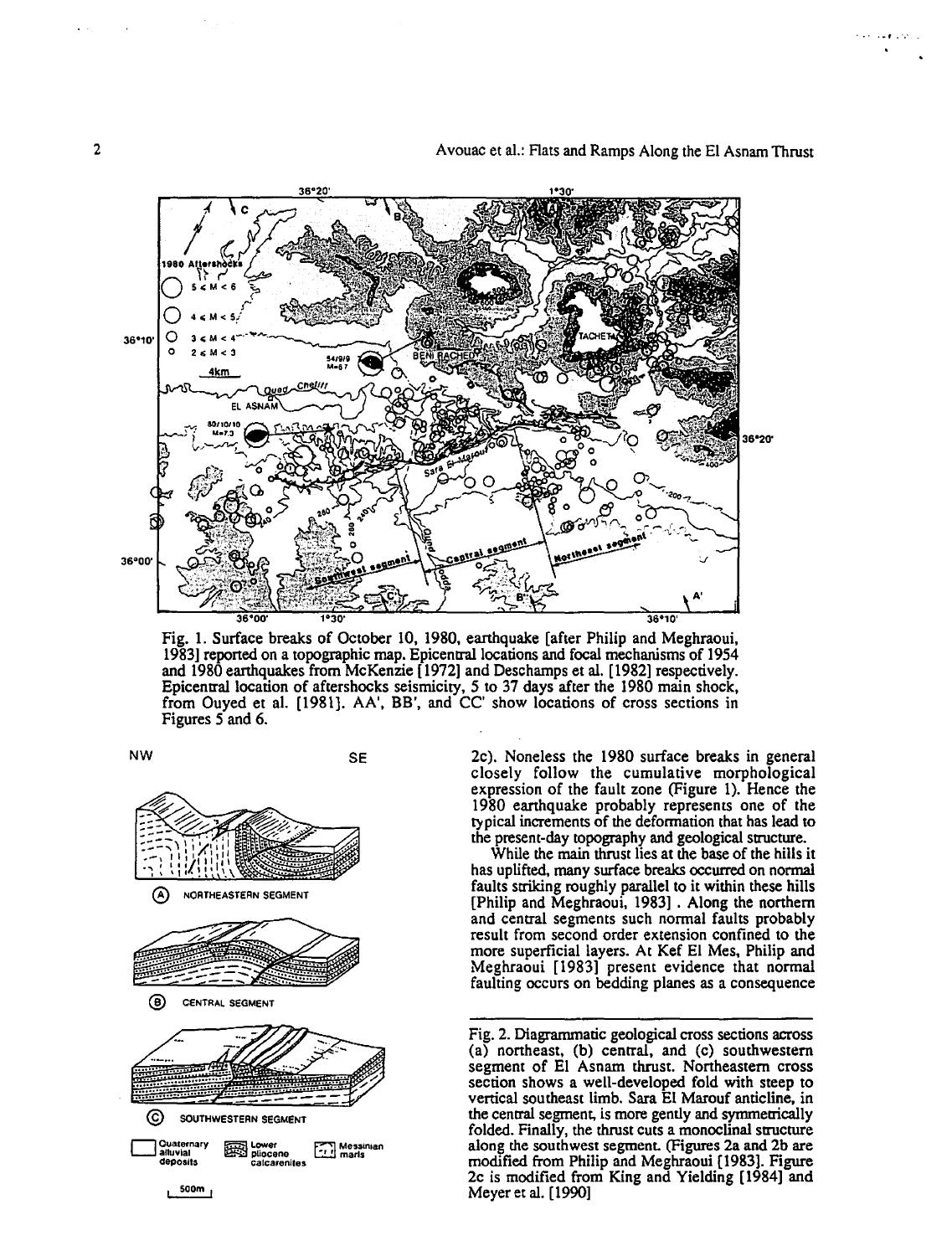2 **2** Avouac et al.: Flats and Ramps Along the El Asnam Thrust

. .  $\epsilon$  .  $\omega$ 



Fig. 1. Surface breaks of October 10, 1980, earthquake [after Philip and Meghraoui, 1983] reponed on a topographic map. Epicentrallocations and focal mechanisms of 1954 and 1980 earthquakes from McKenzie [1972] and Deschamps et al. [1982] respectively. Epicentral location of aftershocks seismicity, 5 to 37 days after the 1980 main shock, from Ouyed et al. [1981]. AA', BB', and CC' show locations of cross sections in Figures 5 and 6.



2c). Noneless the 1980 surface breaks in general closely follow the cumulative morphological expression of the fault zone (Figure 1). Hence the 1980 earthquake probably represents one of the typical increments of the deformation that has lead to the present-day topography and geological structure.

While the main thrust lies at the base of the hills it has uplifted, many surface breaks occurred on normal faults striking roughly parallel to it within these hills [Philip and Meghraoui, 1983] . Along the northern and central segments such normal faults probably result from second order extension confined to the more superficial layers. At Kef El Mes, Philip and Meghraoui [1983] present evidence that normal faulting occurs on bedding planes as a consequence

Fig. 2. Diagrarrunatic geological cross sections across  $(a)$  northeast,  $(b)$  central, and  $(c)$  southwestern segment of El Asnam thrust. Northeastern cross section shows a well-developed fold with steep to vertical southeast limb. Sara El Marouf anticline, in the central segment, is more gently and symmetrically folded. Finally, the thrust cuts a monoclinal structure along the southwest segment. (Figures 2a and 2b are modified from Philip and Meghraoui (1983]. Figure 2c is modified from King and Yielding (1984] and Meyer et al. ( 1990]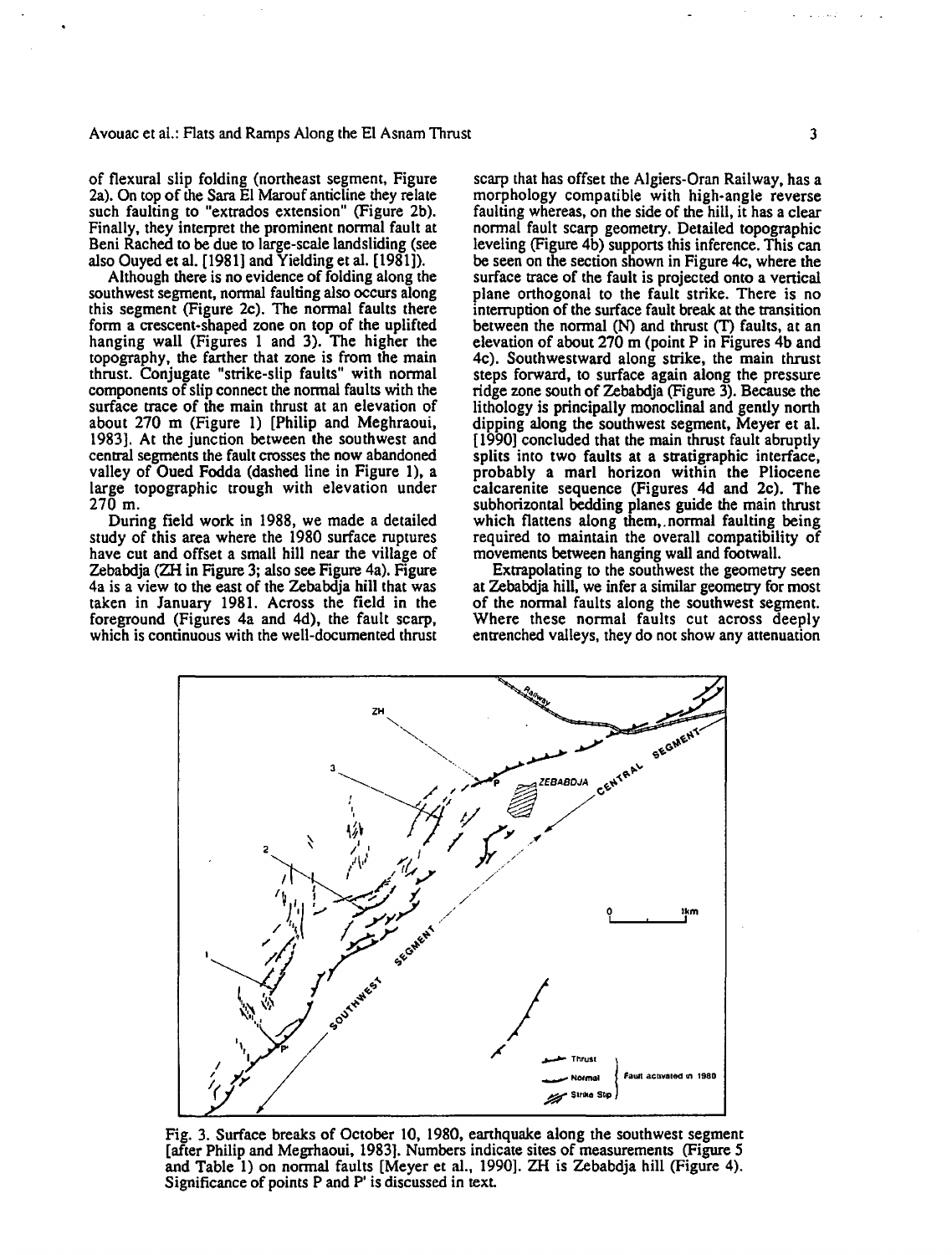of flexural slip folding (northeast segment, Figure 2a). On top of the Sara El Marouf anticline they relate such faulting to "extrados extension" (Figure 2b). Finally, they interpret the prominent normal fault at Beni Rached to be due to large-scale landsliding (see also Ouyed et al. [1981] and Yielding et al. [1981]).

Although there is no evidence of folding along the southwest segment, normal faulting also occurs along this segment (Figure 2c). The normal faults there form a crescent-shaped zone on top of the uplifted hanging wall (Figures 1 and 3). The higher the topography, the farther that zone is from the main thrust. Conjugate "strike-slip faults" with normal components of slip connect the normal faults with the surface trace of the main thrust at an elevation of about 270 m (Figure I) [Philip and Meghraoui, 1983]. At the junction between the southwest and central segments the fault crosses the now abandoned valley of Oued Fodda (dashed line in Figure 1), a large topographic trough with elevation under 270 m.

During field work in 1988, we made a detailed study of this area where the 1980 surface ruptures have cut and offset a small hill near the village of Zebabdja (ZH in Figure 3; also see Figure 4a). Figure 4a is a view to the east of the Zebabdja hill that was taken in January 1981. Across the field in the foreground (Figures 4a and 4d), the fault scarp, which is continuous with the well-documented thrust

ZΗ

scarp that has offset the Algiers-Oran Railway, has a morphology compatible with high-angle reverse faulting whereas, on the side of the hill, it has a clear normal fault scarp geometry. Detailed topographic leveling (Figure 4b) supports this inference. This can be seen on the section shown in Figure 4c, where the surface trace of the fault is projected onto a vertical plane orthogonal to the fault strike. There is no interruption of the surface fault break at the transition between the normal (N) and thrust (T) faults, at an elevation of about 270 m (point P in Figures 4b and 4c). Southwestward along strike, the main thrust steps forward, to surface again along the pressure ridge zone south of Zebabdja (Figure 3). Because the lithology is principally monoclinal and gently north dipping along the southwest segment, Meyer et al. [1990] concluded that the main thrust fault abruptly splits into two faults at a stratigraphic interface. probably a marl horizon within the Pliocene calcarenite sequence (Figures 4d and 2c). The subhorizontal bedding planes guide the main thrust which flattens along them,.normal faulting being required to maintain the overall compatibility of movements between hanging wall and footwall.

Extrapolating to the southwest the geometry seen at Zebabdja hill, we infer a similar geometry for most of the normal faults along the southwest segment. Where these normal faults cut across deeply entrenched valleys, they do not show any attenuation

 $1km$ 

SEGMENT

CENTRAL

ZEBABDJA

SEGMENT SOUTHWEST I ~ T~rust l .....,.., **Nolmat Fauat acEM!IIed tn t980**  Strike Sti Fig. 3. Surface breaks of October 10, 1980, earthquake along the southwest segment

[after Philip and Megrhaoui, 1983]. Numbers indicate sites of measurements (Figure *5*  and Table 1) on normal faults [Meyer et al., 1990]. ZH is Zebabdja hill (Figure 4). Significance of points P and P' is discussed in text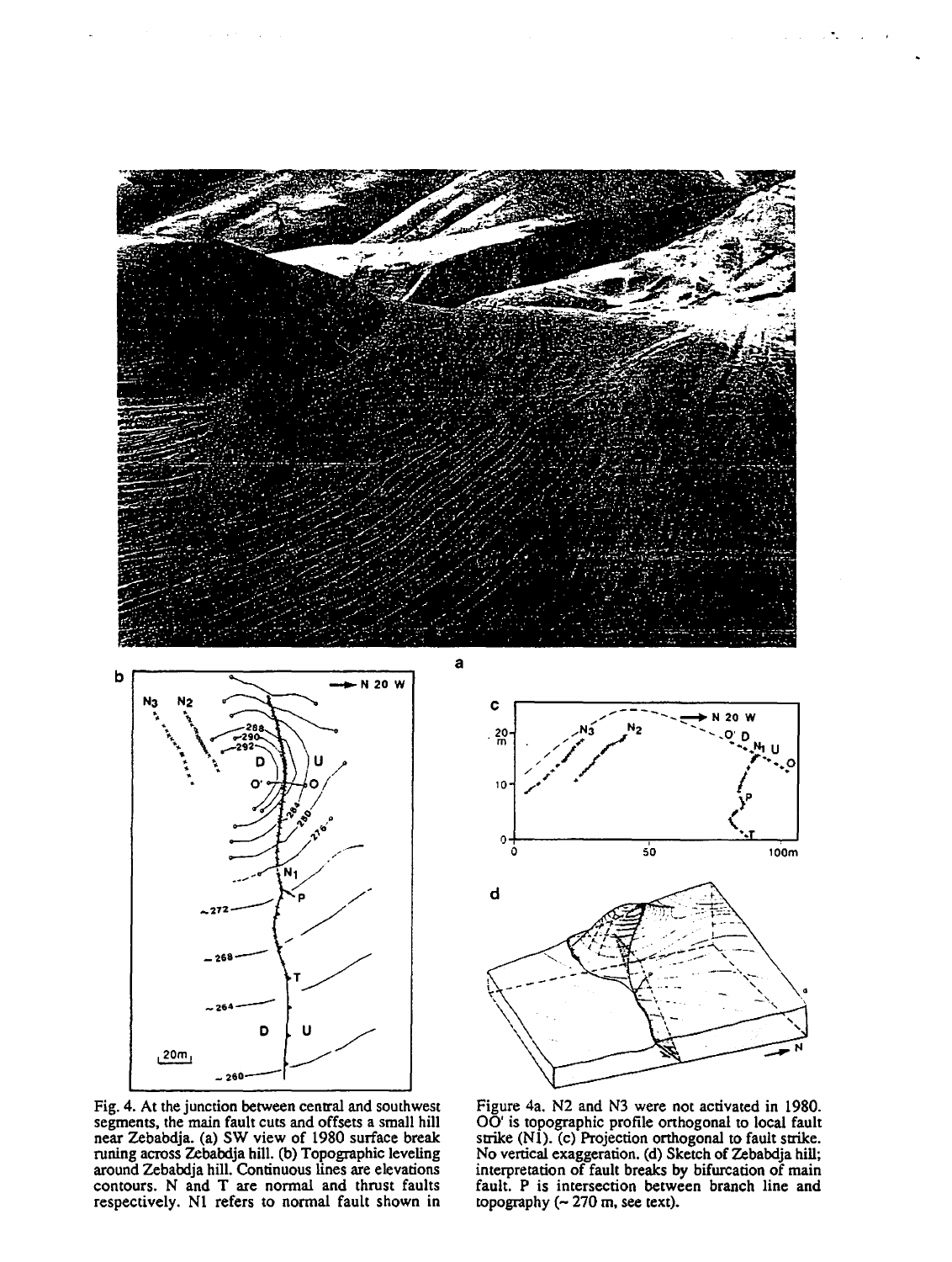



Fig. 4. At the junction between central and southwest segments, the main fault cuts and offsets a small hill near Zebabdja. (a) SW view of 1980 surface break runing across Zebabdja hill. (b) Topographic leveling around Zebabdja hill. Continuous lines are elevations contours. N and T are normal and thrust faults respectively. N1 refers to normal fault shown in



 $\bullet$  .

Figure 4a. N2 and N3 were not activated in 1980. OO' is topographic profile orthogonal to local fault strike (N1). (c) Projection orthogonal to fault strike. No vertical exaggeration. (d) Sketch of Zebabdja hill; interpretation of fault breaks by bifurcation of main fault. P is intersection between branch line and topography  $(-270 \text{ m}, \text{see text}).$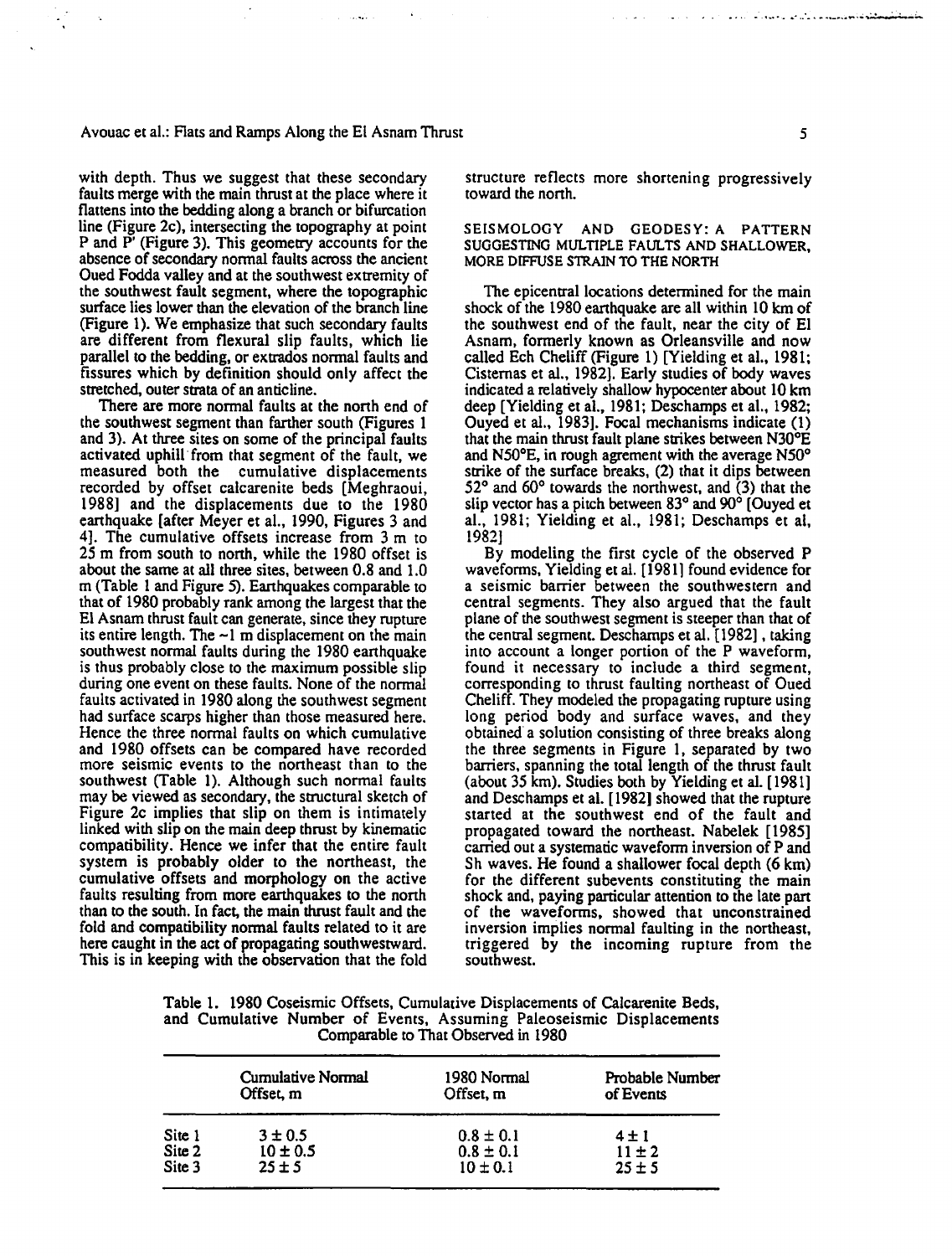#### Avouac et al.: Flats and Ramps Along the El Asnam Thrust **5 5** *5*

with depth. Thus we suggest that these secondary faults merge with the main thrust at the place where it flattens into the bedding along a branch or bifurcation line (Figure 2c), intersecting the topography at point P and P' (Figure 3). This geometry accounts for the absence of secondary normal faults across the ancient Oued Fodda valley and at the southwest extremity of the southwest fault segment, where the topographic surface lies lower than the elevation of the branch line (Figure 1). We emphasize that such secondary faults are different from flexural slip faults, which lie parallel to the bedding, or extrados normal faults and fissures which by definition should only affect the stretched, outer strata of an anticline.

There are more normal faults at the north end of the southwest segment than fanher south (Figures 1 and 3). At three sites on some of the principal faults activated uphill· from that segment of the fault, we measured both the cumulative displacements recorded by offset calcarenite beds [Meghraoui, 1988] and the displacements due to the 1980 earthquake [after Meyer et al., 1990, Figures 3 and 4]. The cumulative offsets increase from 3 m to 25 m from south to north, while the 1980 offset is about the same at all three sites, between 0.8 and 1.0 m (Table 1 and Figure 5). Earthquakes comparable to that of 1980 probably rank among the largest that the El Asnam thrust fault can generate, since they rupture its entire length. The  $-1$  m displacement on the main southwest normal faults during the 1980 earthquake is thus probably close to the maximum possible slip during one event on these faults. None of the normal faults activated in 1980 along the southwest segment had surface scarps higher than those measured here. Hence the three normal faults on which cumulative and 1980 offsets can be compared have recorded more seismic events to the nonheast than to the southwest (Table 1). Although such normal faults may be viewed as secondary, the structural sketch of Figure 2c implies that slip on them is intimately linked with slip on the main deep thrust by kinematic compatibility. Hence we infer that the entire fault system is probably older to the northeast, the cumulative offsets and morphology on the active faults resulting from more earthquakes to the north than to the south. In fact, the main thrust fault and the fold and compatibility normal faults related to it are here caught in the act of propagating southwestward. This is in keeping with the observation that the fold

structure reflects more shortening progressively toward the north.

### SEISMOLOGY AND GEODESY: A PATTERN SUGGESTING MULTIPLE FAULTS AND SHALLOWER, MORE DIFFUSE STRAIN TO THE NORTH

The epicentral locations determined for the main shock of the 1980 earthquake are all within 10 km of the southwest end of the fault, near the city of El Asnam, formerly known as Orleansville and now called Ech Cheliff (Figure 1) [Yielding et al., 1981; Cistemas et al., 1982]. Early studies of body waves indicated a relatively shallow hypocenter about 10 km deep [Yielding et al., 1981; Deschamps et al., 1982; Ouyed et al., 1983]. Focal mechanisms indicate (I) that the main thrust fault plane strikes between N30°E and N50°E, in rough agrement with the average N50° strike of the surface breaks, (2) that it dips between 52° and 60° towards the northwest, and (3) that the slip vector has a pitch between 83° and 90° [Ouyed et al., 1981; Yielding et al., 1981; Deschamps et al, 1982]

By modeling the first cycle of the observed P waveforms, Yielding et al. [ 1981] found evidence for a seismic barrier between the southwestern and central segments. They also argued that the fault plane of the southwest segment is steeper than that of the central segment. Deschamps et al. [1982], taking into account a longer portion of the P waveform, found it necessary to include a third segment, corresponding to thrust faulting northeast of Oued Cheliff. They modeled the propagating rupture using long period body and surface waves, and they obtained a solution consisting of three breaks along the three segments in Figure 1, separated by two barriers, spanning the total length of the thrust fault (about 35 km). Studies both by Yielding et al. [ 1981] and Deschamps et al. [1982] showed that the rupture started at the southwest end of the fault and propagated toward the northeast. Nabelek [1985] carried out a systematic waveform inversion of P and Sh waves. He found a shallower focal depth (6 km) for the different subevents constituting the main shock and, paying particular attention to the late part of the waveforms, showed that unconstrained inversion implies normal faulting in the northeast, triggered by the incoming rupture from the southwest.

|                                     |  |  |  |  |  |  |  | Table 1. 1980 Coseismic Offsets, Cumularive Displacements of Calcarenite Beds, |
|-------------------------------------|--|--|--|--|--|--|--|--------------------------------------------------------------------------------|
|                                     |  |  |  |  |  |  |  | and Cumulative Number of Events, Assuming Paleoseismic Displacements           |
| Comparable to That Observed in 1980 |  |  |  |  |  |  |  |                                                                                |

|        | Cumulative Normal | 1980 Normal   | Probable Number |
|--------|-------------------|---------------|-----------------|
|        | Offset m          | Offset, m     | of Events       |
| Site 1 | $3 \pm 0.5$       | $0.8 \pm 0.1$ | $4 \pm 1$       |
| Site 2 | $10 \pm 0.5$      | $0.8 \pm 0.1$ | $11 \pm 2$      |
| Site 3 | $25 \pm 5$        | $10 \pm 0.1$  | $25 \pm 5$      |

in a comparativamente de la decenidad de la comparación de la comparación de la comparación de la comparación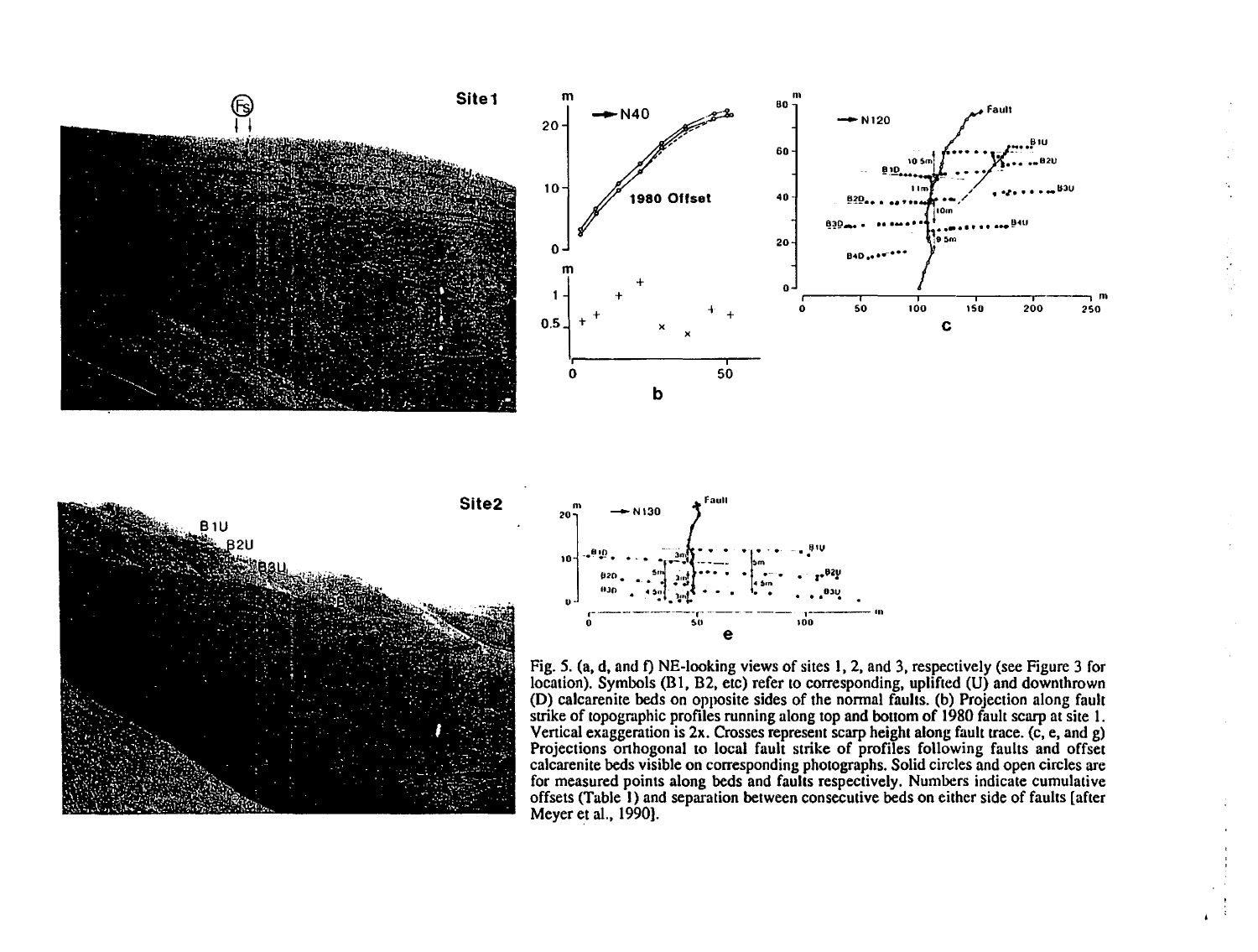







Fig. *5.* (a, d, and f) NE-looking views of sites **1,** 2, and 3, respectively (see Figure 3 for location). Symbols (Bl, B2, etc) refer to corresponding, uplifted (U} and downthrown **(D)** calcarenite beds on opposite sides of the normal faults. (b) Projection along fault strike of topographic profiles running along top and bottom of 1980 fault scarp at site 1. Vertical exaggeration is 2x. Crosses represent scarp height along fault trace. (c, e, and g) Projections orthogonal to local fault strike of profiles following faults and offset calcarenite beds visible on corresponding photographs. Solid circles and open circles are for measured points along beds and faults respectively. Numbers indicate cumulative offsets (Table **1)** and separation between consecutive beds on either side of faults [after Meyer et al., 1990).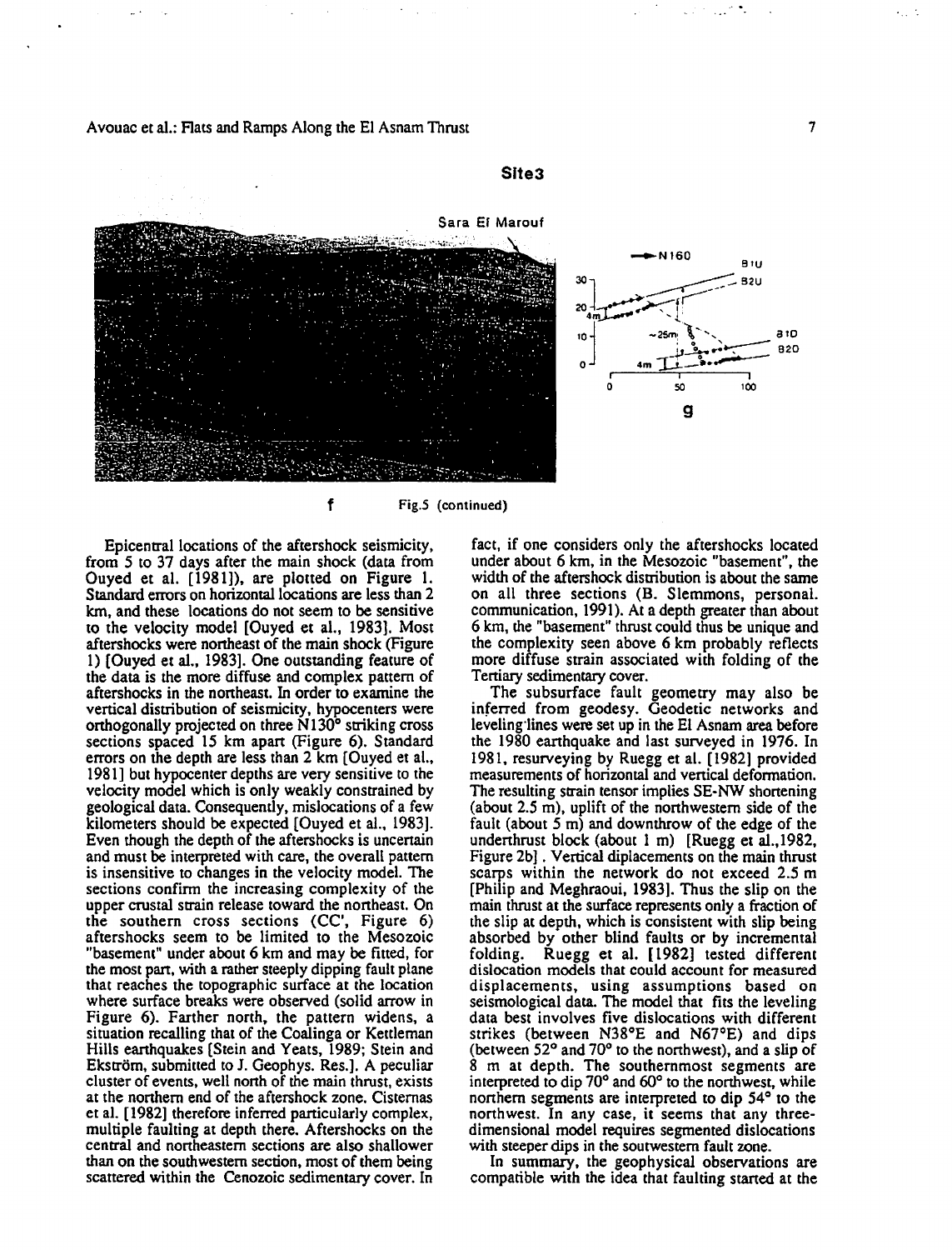

Site3

f Fig.5 (continued)

Epicentral locations of the aftershock seismicity, from *5* to 37 days after the main shock (data from Ouyed et al. [1981]), are plotted on Figure 1. Standard errors on horizontal locations are less than 2 km, and these locations do not seem to be sensitive to the velocity model [Ouyed et al., 1983]. Most aftershocks were northeast of the main shock (Figure 1) [Ouyed et al., 1983]. One outstanding feature of the data is the more diffuse and complex pattern of aftershocks in the northeast. In order to examine the vertical distribution of seismicity, hypocenters were orthogonally projected on three N 130° striking cross sections spaced 15 km apart (Figure 6). Standard errors on the depth are less than 2 km [Ouyed et al., 1981] but hypocenter depths are very sensitive to the velocity model which is only weakly constrained by geological data. Consequently, mislocations of a few kilometers should be expected [Ouyed et al., 1983]. Even though the depth of the aftershocks is uncertain and must be interpreted with care, the overall pattern is insensitive to changes in the velocity model. The sections confirm the increasing complexity of the upper crustal strain release toward the northeast. On the southern cross sections (CC', Figure 6) aftershocks seem to be limited to the Mesozoic "basement" under about 6 km and may be fitted, for the most part, with a rather steeply dipping fault plane that reaches the topographic sutface at the location where sutface breaks were observed (solid arrow in Figure 6). Farther north, the pattern widens, a situation recalling that of the Coalinga or Kettleman Hills earthquakes [Stein and Yeats, 1989; Stein and Ekström, submitted to J. Geophys. Res.]. A peculiar cluster of events, well north of the main thrust, exists at the northern end of the aftershock zone. Cisternas et al. [1982] therefore inferred particularly complex, multiple faulting at depth there. Aftershocks on the central and northeastern sections are also shallower than on the southwestern section, most of them being scattered within the Cenozoic sedimentary cover. In fact, if one considers only the aftershocks located under about 6 km, in the Mesozoic "basement", the width of the aftershock distribution is about the same on all three sections (B. Slemmons, personal. communication, 1991). At a depth greater than about 6 km, the "basement" thrust could thus be unique and the complexity seen above 6 km probably reflects more diffuse strain associated with folding of the Tertiary sedimentary cover.

The subsurface fault geometry may also be inferred from geodesy. Geodetic networks and leveling·lines were set up in the El Asnam area before the 1980 earthquake and last surveyed in 1976. In 1981, resurveying by Ruegg et al. [1982] provided measurements of horizontal and vertical deformation. The resulting strain tensor implies SE-NW shortening (about 2.5 m), uplift of the northwestern side of the fault (about 5 m) and downthrow of the edge of the underthrust block (about 1 m) [Ruegg et al.,I982, Figure 2b] . Vertical diplacements on the main thrust scarps within the network do not exceed 2.5 m [Philip and Meghraoui, 1983]. Thus the slip on the main thrust at the surface represents only a fraction of the slip at depth, which is consistent with slip being absorbed by other blind faults or by incremental folding. Ruegg et al. [ 1982] tested different dislocation models that could account for measured displacements, using assumptions based on seismological data. The model that fits the leveling data best involves five dislocations with different strikes (between N38°E and N67°E) and dips (between 52° and 70° to the northwest), and a slip of 8 m at depth. The southernmost segments are interpreted to dip 70° and 60° to the northwest, while northern segments are interpreted to dip 54° to the northwest. In any case, it seems that any threedimensional model requires segmented dislocations with steeper dips in the soutwestem fault zone.

In summary, the geophysical observations are compatible with the idea that faulting started at the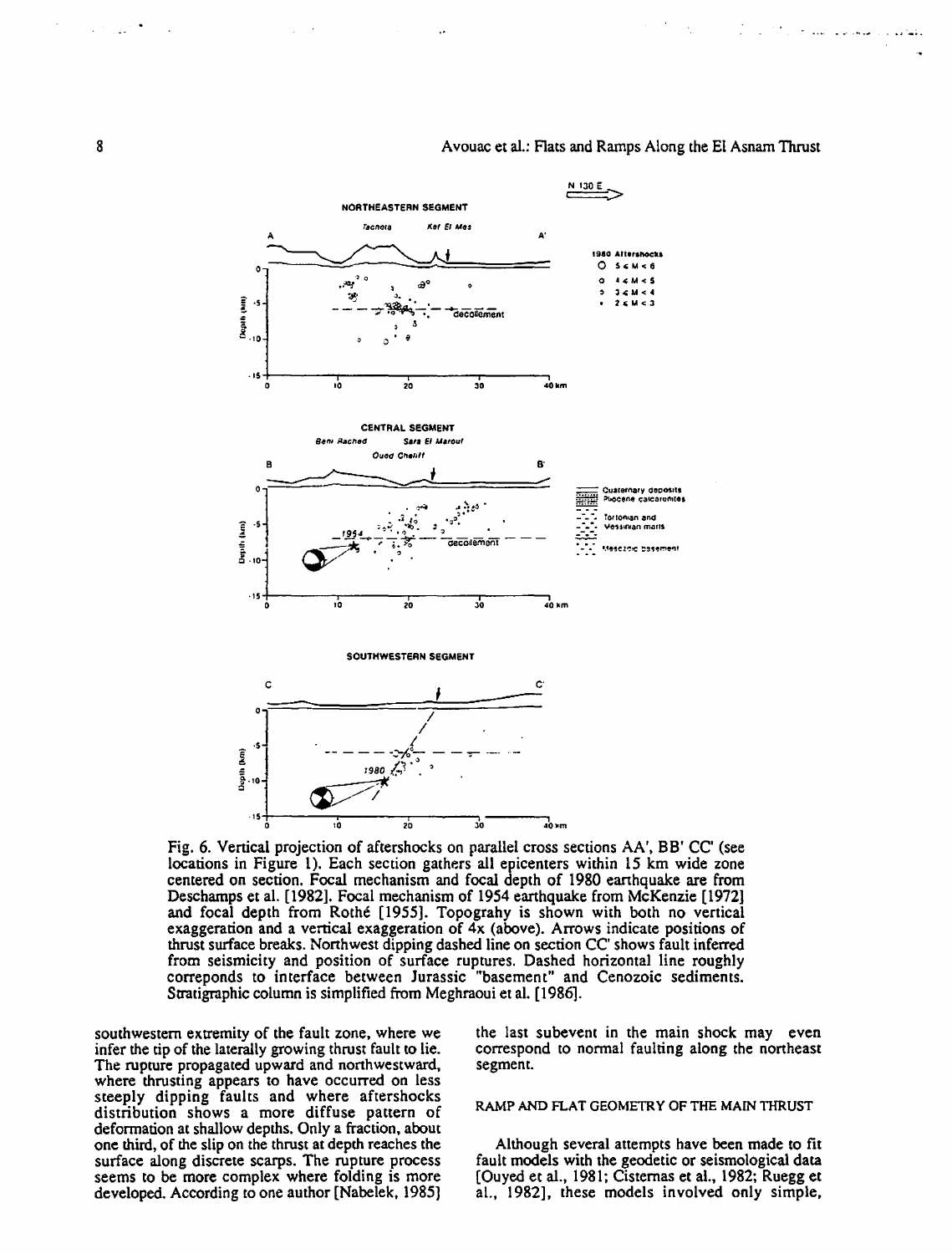**N 130 E**  NORTHEASTERN SEGMENT **racnefa** K~f **El Ales**  A A' **t t 910 Altt,ahOC:la**  0 5CM<6 ., 0 **o 44-M< 5**  .. ""! ' ~· 0 ., **3< u** < .. ૱<br>- – <del>- સ્થિન, -</del>: – - <sub>decolement</sub> **<sup>33</sup>'** ~.. • ţ  $2 < M < 3$  $\frac{2}{3}$ .10 ' & 。" o~s+-----r-----r-----,-----, o ~ ro ~ ~~ CENTRAL SEGMENT Sara El Maroul *B.en1* **Racned Oued Cheliff** B' B === **Cuacetnary diJCJOSlts**  ~~ **PliOcene catcarutt1te1**  و.<br>أفيا .<br>'ortoman and<br>*Pessinan mari*s Depth (km)  $\overline{a}$ -.:-:· **V&UII'Ilan marlS**  ᅏᅝᆇᅄ Hesozoic basement  $.15$ ۱Ò 20 30 า<br>40 km SOUTHWESTERN SEGMENT c c· Q I I <sup>I</sup>-- - ---:::-;:- - - ..,- -- *I'>* ,o **1980** (~) . ~ . ·S  $\frac{3}{2}$ <br> $\frac{3}{2}$ <br> $\frac{3}{2}$ <br> $\frac{3}{2}$ <br> $\frac{3}{2}$ <br> $\frac{3}{2}$ <br> $\frac{3}{2}$ <br> $\frac{3}{2}$ <br> $\frac{3}{2}$ <br> $\frac{3}{2}$ <br> $\frac{3}{2}$ <br> $\frac{3}{2}$ <br> $\frac{3}{2}$ <br> $\frac{3}{2}$ <br> $\frac{3}{2}$ <br> $\frac{3}{2}$ <br> $\frac{3}{2}$ <br> $\frac{3}{2}$ <br> $\frac{3}{2}$ <br> $\frac{3}{2}$ <br> $\frac{3}{2}$ <br> $\frac{3}{2}$ <br>Depth (Mm)  $\frac{1}{15}$   $\frac{1}{10}$   $\frac{1}{20}$   $\frac{1}{20}$   $\frac{1}{30}$   $\frac{1}{10}$   $\frac{1}{20}$ 

# A vouac et al.: Flats and Ramps Along the El Asnam Thrust

Fig. 6. Vertical projection of aftershocks on parallel cross sections AA', BB' CC' (see locations in Figure 1). Each section gathers all epicenters within 15 km wide zone centered on section. Focal mechanism and focal depth of 1980 earthquake are from Deschamps eta!. [1982). Focal mechanism of 1954 earthquake from McKenzie [1972] and focal depth from Rothe [1955]. Topograhy is shown with both no vertical exaggeration and a vertical exaggeration of 4x (above). Arrows indicate positions of thrust surface breaks. Northwest dipping dashed line on section CC' shows fault inferred from seismicity and position of surface ruptures. Dashed horizontal line roughly correponds to interface between Jurassic "basement" and Cenozoic sediments. Stratigraphic column is simplified from Meghraoui et al. [1986].

southwestern extremity of the fault zone, where we infer the tip of the laterally growing thrust fault to lie. The rupture propagated upward and northwestward, where thrusting appears to have occurred on less steeply dipping faults and where aftershocks distribution shows a more diffuse pattern of deformation at shallow depths. Only a fraction, about one third, of the slip on the thrust at depth reaches the surface along discrete scarps. The rupture process seems to be more complex where folding is more developed. According to one author [Nabelek, 1985]

the last subevent in the main shock may even correspond to normal faulting along the northeast segment.

## RAMP AND FLAT GEOMETRY OF THE MAIN THRUST

Although several attempts have been made to fit fault models with the geodetic or seismological data [Ouyed et al., 1981; Cistemas et al., 1982; Ruegg et al., 1982], these models involved only simple,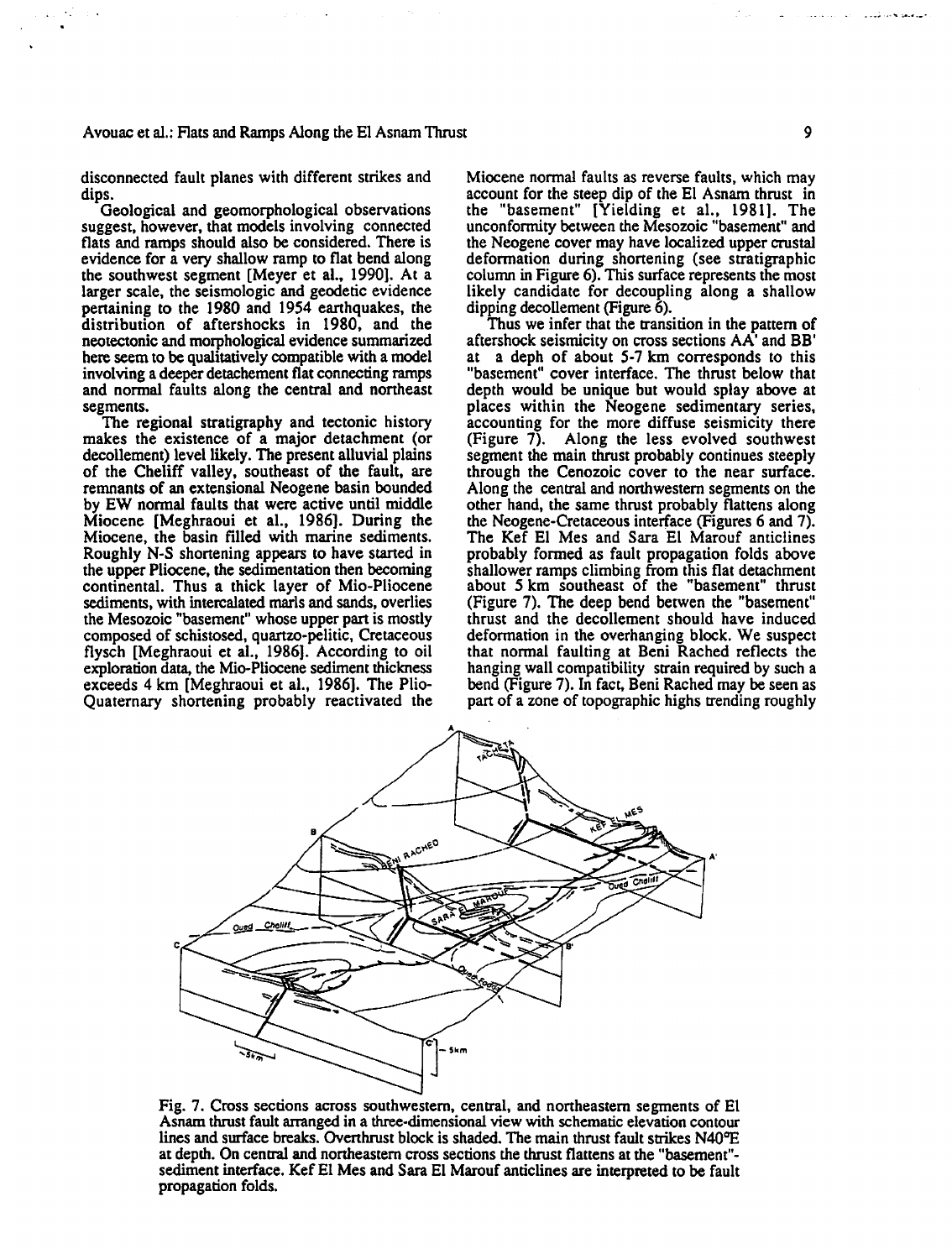disconnected fault planes with different strikes and dips.

Geological and geomorphological observations suggest, however, that models involving connected flats and ramps should also be considered. There is evidence for a very shallow ramp to flat bend along the southwest segment [Meyer et al., 1990]. At a larger scale, the seismologic and geodetic evidence penaining to the 1980 and 1954 earthquakes, the distribution of aftershocks in 1980, and the neotectonic and morphological evidence summarized here seem to be qualitatively compatible with a model involving a deeper detachement flat connecting ramps and normal faults along the central and northeast segments.

The regional stratigraphy and tectonic history makes the existence of a major detachment (or decollement) level likely. The present alluvial plains of the Cheliff valley, southeast of the fault, are remnants of an extensional Neogene basin bounded by EW normal faults that were active until middle Miocene [Meghraoui et al., 1986). During the Miocene, the basin filled with marine sediments. Roughly N-S shortening appears to have started in the upper Pliocene, the sedimentation then becoming continental. Thus a thick layer of Mio-Pliocene sediments, with intercalated marls and sands, overlies the Mesozoic "basemem" whose upper part is mostly composed of schistosed, quartzo-pelitic, Cretaceous flysch [Meghraoui et al., 1986]. According to oil exploration data, the Mio-Pliocene sediment thickness exceeds 4 km [Meghraoui et al., 1986). The Plio-Quaternary shortening probably reactivated the Miocene normal faults as reverse faults, which may account for the steep dip of the El Asnam thrust in the "basement" [Yielding et al., 1981]. The unconformity between the Mesozoic "basement" and the Neogene cover may have localized upper crustal deformation during shonening (see stratigraphic column in Figure 6). This surface represents the most likely candidate for decoupling along a shallow dipping decollement (Figure 6).

Thus we infer that the transition in the pattern of aftershock seismicity on cross sections AA' and BB' at a deph of about 5-7 km corresponds to this "basement" cover interface. The thrust below that depth would be unique but would splay above at places within the Neogene sedimentary series, accounting for the more diffuse seismicity there (Figure 7). Along the less evolved southwest segment the main thrust probably continues steeply through the Cenozoic cover to the near surface. Along the central and northwestern segments on the other hand, the same thrust probably flattens along the Neogene-Cretaceous interface (Figures 6 and 7). The Kef El Mes and Sara El Marouf anticlines probably formed as fault propagation folds above shallower ramps climbing from this flat detachment about 5 km southeast of the "basement" thrust (Figure 7). The deep bend betwen the "basement" thrust and the decollement should have induced deformation in the overhanging block. We suspect that normal faulting at Beni Rached reflects the hanging wall compatibility strain required by such a bend (Figure 7). In fact, Beni Rached may be seen as part of a zone of topographic highs trending roughly



Fig. 7. Cross sections across southwestern, central, and northeastern segments of El Asnam thrust fault arranged in a three-dimensional view with schematic elevation contour lines and surface breaks. Overthrust block is shaded. The main thrust fault strikes N40°E at depth. On central and nonheastem cross sections the thrust flattens at the "basement" sediment interface. Kef El Mes and Sara El Marouf anticlines are interpreted to be fault propagation folds.

. . ... ;. ..... ~·-'"·-·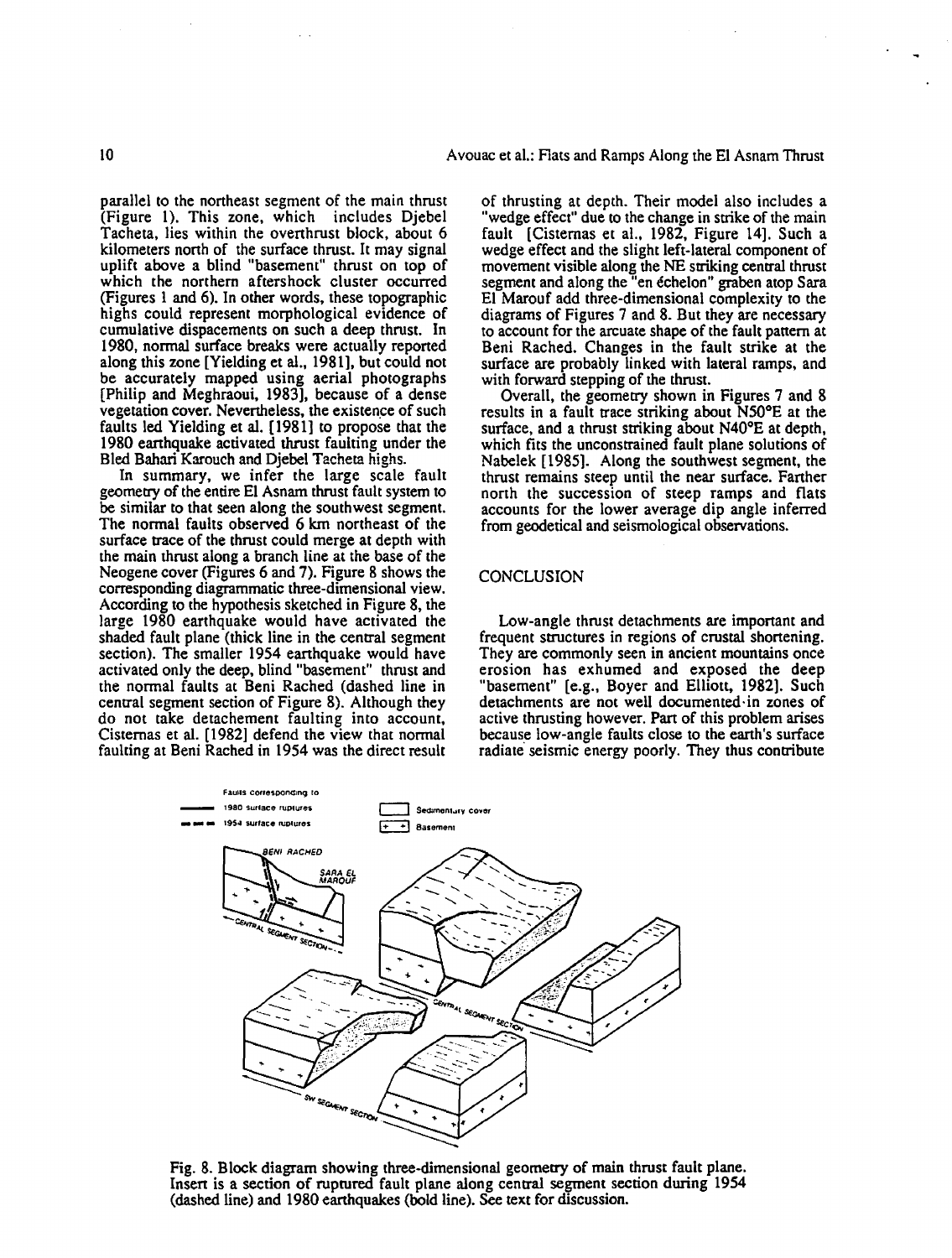parallel to the northeast segment of the main thrust (Figure 1). This zone, which includes Djebel Tacheta, lies within the ovenhrust block, about 6 kilometers north of the surface thrust. It may signal uplift above a blind "basement" thrust on top of which the northern aftershock cluster occurred (Figures 1 and 6). In other words, these topographic highs could represent morphological evidence of cumulative dispacements on such a deep thrust. In 1980, normal surface breaks were actually reponed along this zone [Yielding et al., 1981], but could not be accurately mapped using aerial photographs [Philip and Meghraoui, 1983], because of a dense vegetation cover. Nevertheless, the existence of such faults led Yielding et al. [ 1981] to propose that the 1980 earthquake activated thrust faulting under the Bled Bahari Karouch and Djebel Tacheta highs.

In summary, we infer the large scale fault geometry of the entire El Asnam thrust fault system to be similar to that seen along the southwest segment. The normal faults observed 6 km northeast of the surface trace of the thrust could merge at depth with the main thrust along a branch line at the base of the Neogene cover (Figures 6 and 7). Figure 8 shows the corresponding diagrammatic three-dimensional view. According to the hypothesis sketched in Figure 8, the large 1980 earthquake would have activated the shaded fault plane (thick line in the central segment section). The smaller 1954 earthquake would have activated only the deep, blind "basement" thrust and the normal faults at Beni Rached (dashed line in central segment section of Figure 8). Although they do not take detachement faulting into account, Cisternas et al. [1982] defend the view that normal faulting at Beni Rached in 1954 was the direct result

of thrusting at depth. Their model also includes a "wedge effect" due to the change in strike of the main fault [Cisternas et al., 1982, Figure 14]. Such a wedge effect and the slight left-lateral component of movement visible along the NE striking central thrust segment and along the "en echelon'' graben atop Sara El Marouf add three-dimensional complexity to the diagrams of Figures 7 and 8. But they are necessary to account for the arcuate shape of the fault pattern at Beni Rached. Changes in the fault strike at the surface are probably linked with lateral ramps, and with forward stepping of the thrust.

Overall, the geometry shown in Figures 7 and 8 results in a fault trace striking about N50°E at the surface, and a thrust striking about N40°E at depth, which fits the unconstrained fault plane solutions of Nabelek [1985]. Along the southwest segment, the thrust remains steep until the near surface. Fanher north the succession of steep ramps and flats accounts for the lower average dip angle inferred from geodetical and seismological observations.

# CONCLUSION

Low-angle thrust detachments are important and frequent structures in regions of crustal shortening. They are commonly seen in ancient mountains once erosion has exhumed and exposed the deep "basement" [e.g., Boyer and Elliott, 1982]. Such detachments are not well documented· in zones of active thrusting however. Part of this problem arises because low-angle faults close to the earth's surface radiate seismic energy poorly. They thus contribute



Fig. 8. Block diagram showing three-dimensional geometry of main thrust fault plane. lnsen is a section of ruptured fault plane along central segment section during 1954 (dashed line) and 1980 earthquakes (bold line). See text for discussion.